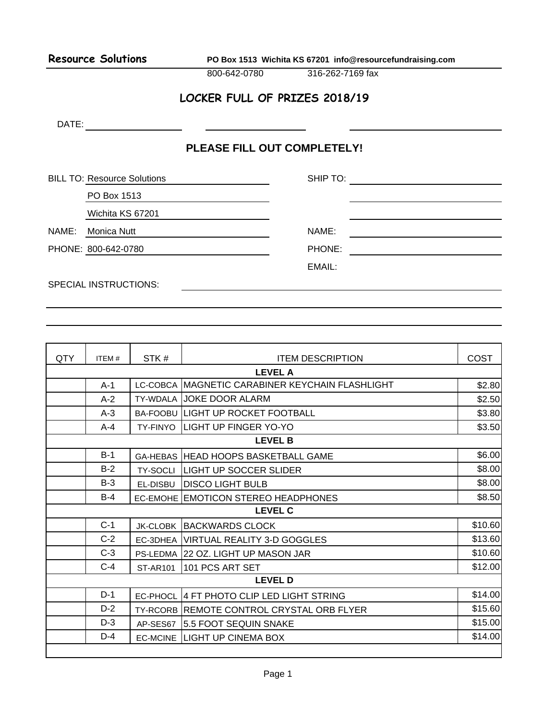**Resource Solutions PO Box 1513 Wichita KS 67201 info@resourcefundraising.com**

800-642-0780 316-262-7169 fax

## **LOCKER FULL OF PRIZES 2018/19**

DATE: the contract of the contract of the contract of the contract of the contract of the contract of the contract of the contract of the contract of the contract of the contract of the contract of the contract of the cont

## **PLEASE FILL OUT COMPLETELY!**

BILL TO: Resource Solutions **Subset Container SHIP TO:** SHIP TO: SHIP TO: SHIP TO: SHIP TO: SHIP TO: SHIP TO: SHIP TO: SHIP TO: SHIP TO: SHIP TO: SHIP TO: SHIP TO: SHIP TO: SHIP TO: SHIP TO: SHIP TO: SHIP TO: SHIP TO: SHIP

PO Box 1513

Wichita KS 67201

NAME: Monica Nutt NAME:

PHONE: 800-642-0780 PHONE:

EMAIL:

SPECIAL INSTRUCTIONS:

| QTY            | ITEM#   | STK#            | <b>ITEM DESCRIPTION</b>                          | <b>COST</b> |  |
|----------------|---------|-----------------|--------------------------------------------------|-------------|--|
| <b>LEVEL A</b> |         |                 |                                                  |             |  |
|                | $A-1$   |                 | LC-COBCA MAGNETIC CARABINER KEYCHAIN FLASHLIGHT  | \$2.80      |  |
|                | $A-2$   |                 | <b>TY-WDALA JJOKE DOOR ALARM</b>                 | \$2.50      |  |
|                | $A-3$   |                 | <b>BA-FOOBU LIGHT UP ROCKET FOOTBALL</b>         | \$3.80      |  |
|                | $A - 4$ |                 | <b>TY-FINYO LIGHT UP FINGER YO-YO</b>            | \$3.50      |  |
| <b>LEVEL B</b> |         |                 |                                                  |             |  |
|                | $B-1$   |                 | GA-HEBAS HEAD HOOPS BASKETBALL GAME              | \$6.00      |  |
|                | $B-2$   |                 | <b>TY-SOCLI LIGHT UP SOCCER SLIDER</b>           | \$8.00      |  |
|                | $B-3$   |                 | EL-DISBU   DISCO LIGHT BULB                      | \$8.00      |  |
|                | $B-4$   |                 | EC-EMOHE EMOTICON STEREO HEADPHONES              | \$8.50      |  |
| <b>LEVEL C</b> |         |                 |                                                  |             |  |
|                | $C-1$   |                 | <b>JK-CLOBK BACKWARDS CLOCK</b>                  | \$10.60     |  |
|                | $C-2$   |                 | EC-3DHEA VIRTUAL REALITY 3-D GOGGLES             | \$13.60     |  |
|                | $C-3$   |                 | PS-LEDMA 22 OZ. LIGHT UP MASON JAR               | \$10.60     |  |
|                | $C-4$   | <b>ST-AR101</b> | 101 PCS ART SET                                  | \$12.00     |  |
| <b>LEVEL D</b> |         |                 |                                                  |             |  |
|                | $D-1$   | EC-PHOCL        | 14 FT PHOTO CLIP LED LIGHT STRING                | \$14.00     |  |
|                | $D-2$   |                 | <b>TY-RCORB REMOTE CONTROL CRYSTAL ORB FLYER</b> | \$15.60     |  |
|                | $D-3$   |                 | AP-SES67 5.5 FOOT SEQUIN SNAKE                   | \$15.00     |  |
|                | $D-4$   |                 | EC-MCINE LIGHT UP CINEMA BOX                     | \$14.00     |  |
|                |         |                 |                                                  |             |  |